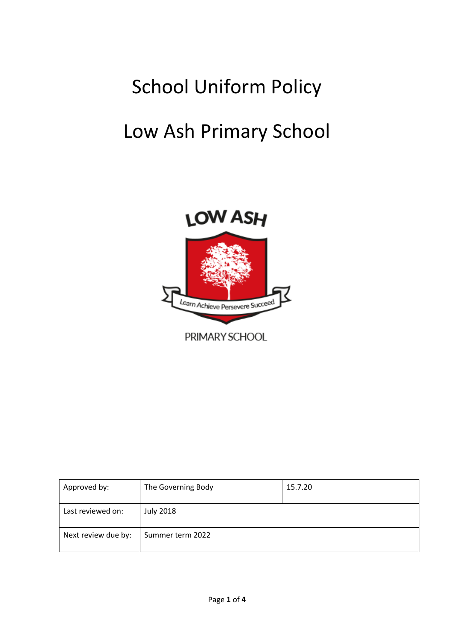# School Uniform Policy

# Low Ash Primary School



| Approved by:        | The Governing Body | 15.7.20 |
|---------------------|--------------------|---------|
| Last reviewed on:   | <b>July 2018</b>   |         |
| Next review due by: | Summer term 2022   |         |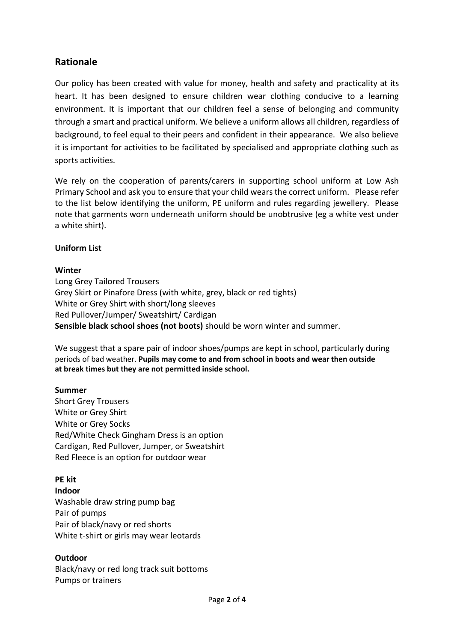# **Rationale**

Our policy has been created with value for money, health and safety and practicality at its heart. It has been designed to ensure children wear clothing conducive to a learning environment. It is important that our children feel a sense of belonging and community through a smart and practical uniform. We believe a uniform allows all children, regardless of background, to feel equal to their peers and confident in their appearance. We also believe it is important for activities to be facilitated by specialised and appropriate clothing such as sports activities.

We rely on the cooperation of parents/carers in supporting school uniform at Low Ash Primary School and ask you to ensure that your child wears the correct uniform. Please refer to the list below identifying the uniform, PE uniform and rules regarding jewellery. Please note that garments worn underneath uniform should be unobtrusive (eg a white vest under a white shirt).

#### **Uniform List**

#### **Winter**

Long Grey Tailored Trousers Grey Skirt or Pinafore Dress (with white, grey, black or red tights) White or Grey Shirt with short/long sleeves Red Pullover/Jumper/ Sweatshirt/ Cardigan **Sensible black school shoes (not boots)** should be worn winter and summer.

We suggest that a spare pair of indoor shoes/pumps are kept in school, particularly during periods of bad weather. **Pupils may come to and from school in boots and wear then outside at break times but they are not permitted inside school.**

#### **Summer**

Short Grey Trousers White or Grey Shirt White or Grey Socks Red/White Check Gingham Dress is an option Cardigan, Red Pullover, Jumper, or Sweatshirt Red Fleece is an option for outdoor wear

#### **PE kit**

#### **Indoor**

Washable draw string pump bag Pair of pumps Pair of black/navy or red shorts White t-shirt or girls may wear leotards

#### **Outdoor**

Black/navy or red long track suit bottoms Pumps or trainers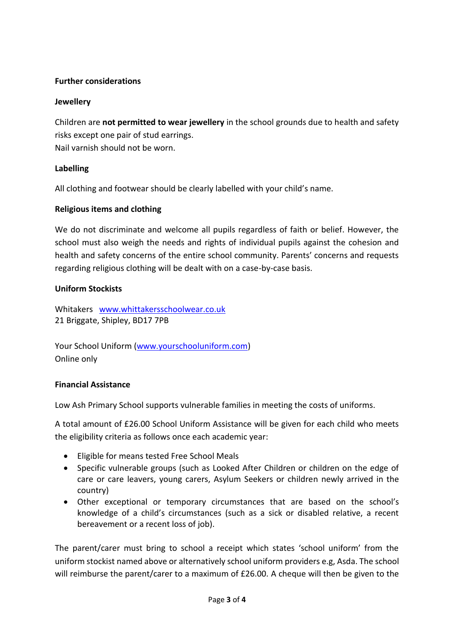#### **Further considerations**

#### **Jewellery**

Children are **not permitted to wear jewellery** in the school grounds due to health and safety risks except one pair of stud earrings. Nail varnish should not be worn.

## **Labelling**

All clothing and footwear should be clearly labelled with your child's name.

## **Religious items and clothing**

We do not discriminate and welcome all pupils regardless of faith or belief. However, the school must also weigh the needs and rights of individual pupils against the cohesion and health and safety concerns of the entire school community. Parents' concerns and requests regarding religious clothing will be dealt with on a case-by-case basis.

#### **Uniform Stockists**

Whitakers [www.whittakersschoolwear.co.uk](http://www.whittakersschoolwear.co.uk/) 21 Briggate, Shipley, BD17 7PB

Your School Uniform [\(www.yourschooluniform.com\)](http://www.yourschooluniform.com/) Online only

#### **Financial Assistance**

Low Ash Primary School supports vulnerable families in meeting the costs of uniforms.

A total amount of £26.00 School Uniform Assistance will be given for each child who meets the eligibility criteria as follows once each academic year:

- Eligible for means tested Free School Meals
- Specific vulnerable groups (such as Looked After Children or children on the edge of care or care leavers, young carers, Asylum Seekers or children newly arrived in the country)
- Other exceptional or temporary circumstances that are based on the school's knowledge of a child's circumstances (such as a sick or disabled relative, a recent bereavement or a recent loss of job).

The parent/carer must bring to school a receipt which states 'school uniform' from the uniform stockist named above or alternatively school uniform providers e.g, Asda. The school will reimburse the parent/carer to a maximum of £26.00. A cheque will then be given to the